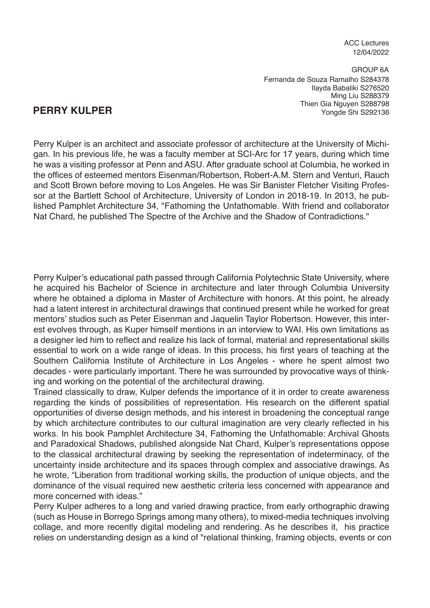ACC Lectures 12/04/2022

GROUP 6A Ilayda Babaliki S276520 Ming Liu S288379 Yongde Shi S292136 Fernanda de Souza Ramalho S284378 Thien Gia Nguyen S288798

# **PERRY KULPER**

Perry Kulper is an architect and associate professor of architecture at the University of Michigan. In his previous life, he was a faculty member at SCI-Arc for 17 years, during which time he was a visiting professor at Penn and ASU. After graduate school at Columbia, he worked in the offices of esteemed mentors Eisenman/Robertson, Robert-A.M. Stern and Venturi, Rauch and Scott Brown before moving to Los Angeles. He was Sir Banister Fletcher Visiting Professor at the Bartlett School of Architecture, University of London in 2018-19. In 2013, he published Pamphlet Architecture 34, "Fathoming the Unfathomable. With friend and collaborator Nat Chard, he published The Spectre of the Archive and the Shadow of Contradictions."

Perry Kulper's educational path passed through California Polytechnic State University, where he acquired his Bachelor of Science in architecture and later through Columbia University where he obtained a diploma in Master of Architecture with honors. At this point, he already had a latent interest in architectural drawings that continued present while he worked for great mentors' studios such as Peter Eisenman and Jaquelin Taylor Robertson. However, this interest evolves through, as Kuper himself mentions in an interview to WAI. His own limitations as a designer led him to reflect and realize his lack of formal, material and representational skills essential to work on a wide range of ideas. In this process, his first years of teaching at the Southern California Institute of Architecture in Los Angeles - where he spent almost two decades - were particularly important. There he was surrounded by provocative ways of thinking and working on the potential of the architectural drawing.

Trained classically to draw, Kulper defends the importance of it in order to create awareness regarding the kinds of possibilities of representation. His research on the different spatial opportunities of diverse design methods, and his interest in broadening the conceptual range by which architecture contributes to our cultural imagination are very clearly reflected in his works. In his book Pamphlet Architecture 34, Fathoming the Unfathomable: Archival Ghosts and Paradoxical Shadows, published alongside Nat Chard, Kulper's representations oppose to the classical architectural drawing by seeking the representation of indeterminacy, of the uncertainty inside architecture and its spaces through complex and associative drawings. As he wrote, "Liberation from traditional working skills, the production of unique objects, and the dominance of the visual required new aesthetic criteria less concerned with appearance and more concerned with ideas."

Perry Kulper adheres to a long and varied drawing practice, from early orthographic drawing (such as House in Borrego Springs among many others), to mixed-media techniques involving collage, and more recently digital modeling and rendering. As he describes it, his practice relies on understanding design as a kind of "relational thinking, framing objects, events or con